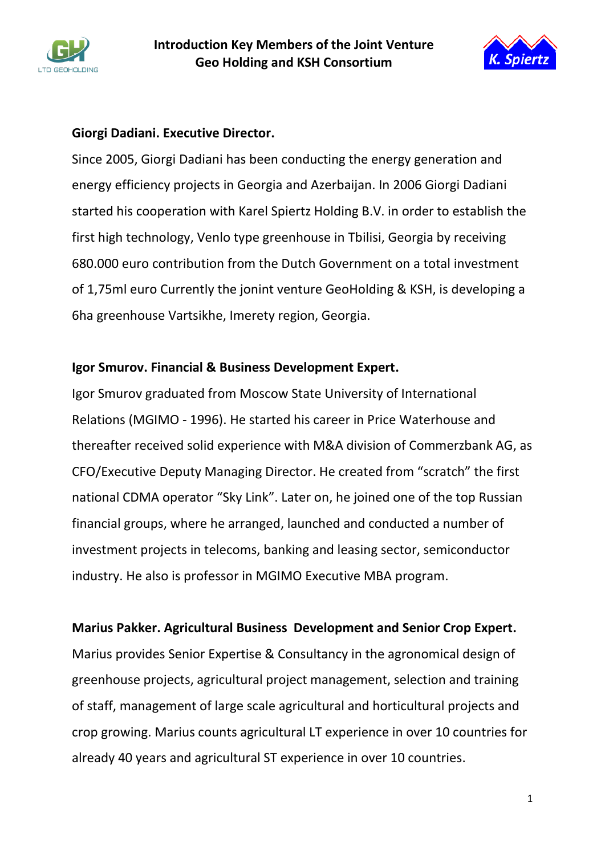



### **Giorgi Dadiani. Executive Director.**

Since 2005, Giorgi Dadiani has been conducting the energy generation and energy efficiency projects in Georgia and Azerbaijan. In 2006 Giorgi Dadiani started his cooperation with Karel Spiertz Holding B.V. in order to establish the first high technology, Venlo type greenhouse in Tbilisi, Georgia by receiving 680.000 euro contribution from the Dutch Government on a total investment of 1,75ml euro Currently the jonint venture GeoHolding & KSH, is developing a 6ha greenhouse Vartsikhe, Imerety region, Georgia.

#### **Igor Smurov. Financial & Business Development Expert.**

Igor Smurov graduated from Moscow State University of International Relations (MGIMO - 1996). He started his career in Price Waterhouse and thereafter received solid experience with M&A division of Commerzbank AG, as CFO/Executive Deputy Managing Director. He created from "scratch" the first national CDMA operator "Sky Link". Later on, he joined one of the top Russian financial groups, where he arranged, launched and conducted a number of investment projects in telecoms, banking and leasing sector, semiconductor industry. He also is professor in MGIMO Executive MBA program.

#### **Marius Pakker. Agricultural Business Development and Senior Crop Expert.**

Marius provides Senior Expertise & Consultancy in the agronomical design of greenhouse projects, agricultural project management, selection and training of staff, management of large scale agricultural and horticultural projects and crop growing. Marius counts agricultural LT experience in over 10 countries for already 40 years and agricultural ST experience in over 10 countries.